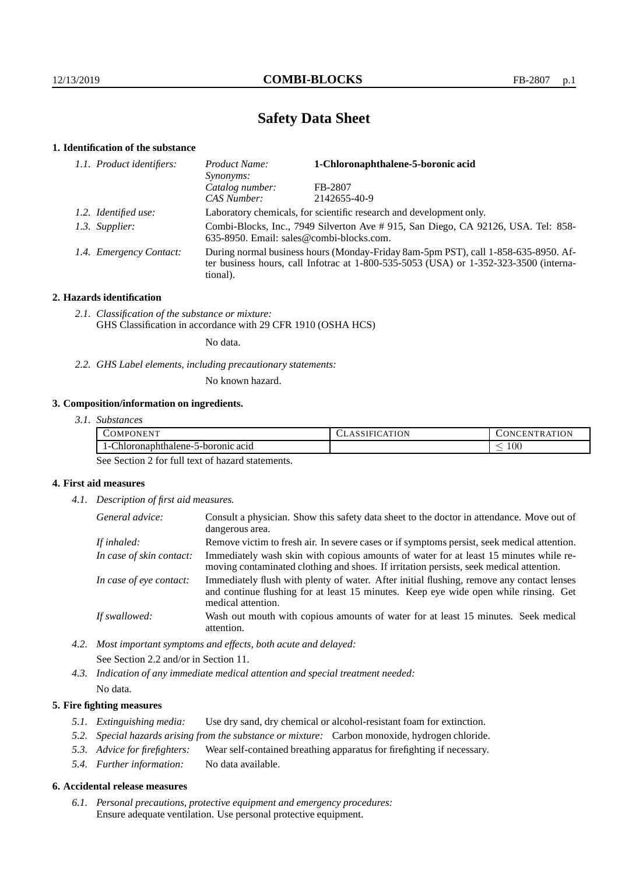# **Safety Data Sheet**

## **1. Identification of the substance**

| 1.1. Product identifiers: | 1-Chloronaphthalene-5-boronic acid<br>Product Name:<br>Synonyms:                                                              |                                                                                                                                                                                 |
|---------------------------|-------------------------------------------------------------------------------------------------------------------------------|---------------------------------------------------------------------------------------------------------------------------------------------------------------------------------|
|                           | Catalog number:                                                                                                               | FB-2807                                                                                                                                                                         |
|                           | CAS Number:                                                                                                                   | 2142655-40-9                                                                                                                                                                    |
| 1.2. Identified use:      |                                                                                                                               | Laboratory chemicals, for scientific research and development only.                                                                                                             |
| 1.3. Supplier:            | Combi-Blocks, Inc., 7949 Silverton Ave # 915, San Diego, CA 92126, USA. Tel: 858-<br>635-8950. Email: sales@combi-blocks.com. |                                                                                                                                                                                 |
| 1.4. Emergency Contact:   | tional).                                                                                                                      | During normal business hours (Monday-Friday 8am-5pm PST), call 1-858-635-8950. Af-<br>ter business hours, call Infotrac at $1-800-535-5053$ (USA) or $1-352-323-3500$ (interna- |

### **2. Hazards identification**

*2.1. Classification of the substance or mixture:* GHS Classification in accordance with 29 CFR 1910 (OSHA HCS)

No data.

*2.2. GHS Label elements, including precautionary statements:*

No known hazard.

# **3. Composition/information on ingredients.**

| ?ONENT<br>$\sim$ OMPC                                | LASSIFICATION | <b>TRATION</b><br>.)NCEN |
|------------------------------------------------------|---------------|--------------------------|
| $\sim$<br>5-boronic acid<br>:hloronaphthalene-<br>-1 |               | $100\,$<br>_             |

See Section 2 for full text of hazard statements.

#### **4. First aid measures**

*4.1. Description of first aid measures.*

| General advice:          | Consult a physician. Show this safety data sheet to the doctor in attendance. Move out of<br>dangerous area.                                                                                            |
|--------------------------|---------------------------------------------------------------------------------------------------------------------------------------------------------------------------------------------------------|
| If inhaled:              | Remove victim to fresh air. In severe cases or if symptoms persist, seek medical attention.                                                                                                             |
| In case of skin contact: | Immediately wash skin with copious amounts of water for at least 15 minutes while re-<br>moving contaminated clothing and shoes. If irritation persists, seek medical attention.                        |
| In case of eye contact:  | Immediately flush with plenty of water. After initial flushing, remove any contact lenses<br>and continue flushing for at least 15 minutes. Keep eye wide open while rinsing. Get<br>medical attention. |
| If swallowed:            | Wash out mouth with copious amounts of water for at least 15 minutes. Seek medical<br>attention.                                                                                                        |

*4.2. Most important symptoms and effects, both acute and delayed:* See Section 2.2 and/or in Section 11.

*4.3. Indication of any immediate medical attention and special treatment needed:* No data.

### **5. Fire fighting measures**

- *5.1. Extinguishing media:* Use dry sand, dry chemical or alcohol-resistant foam for extinction.
- *5.2. Special hazards arising from the substance or mixture:* Carbon monoxide, hydrogen chloride.
- *5.3. Advice for firefighters:* Wear self-contained breathing apparatus for firefighting if necessary.
- *5.4. Further information:* No data available.

#### **6. Accidental release measures**

*6.1. Personal precautions, protective equipment and emergency procedures:* Ensure adequate ventilation. Use personal protective equipment.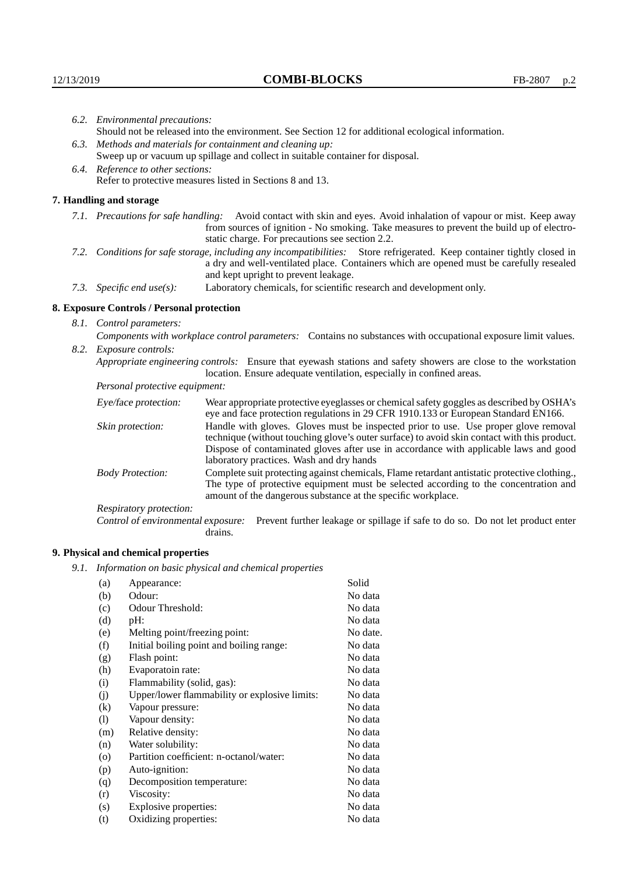| 6.2. Environmental precautions: |                                                                                                                                                                                                                                                            |                                                                                                                                                                                                                                                                    |  |  |  |
|---------------------------------|------------------------------------------------------------------------------------------------------------------------------------------------------------------------------------------------------------------------------------------------------------|--------------------------------------------------------------------------------------------------------------------------------------------------------------------------------------------------------------------------------------------------------------------|--|--|--|
|                                 | Should not be released into the environment. See Section 12 for additional ecological information.                                                                                                                                                         |                                                                                                                                                                                                                                                                    |  |  |  |
|                                 | 6.3. Methods and materials for containment and cleaning up:                                                                                                                                                                                                |                                                                                                                                                                                                                                                                    |  |  |  |
|                                 | Sweep up or vacuum up spillage and collect in suitable container for disposal.                                                                                                                                                                             |                                                                                                                                                                                                                                                                    |  |  |  |
|                                 | 6.4. Reference to other sections:                                                                                                                                                                                                                          |                                                                                                                                                                                                                                                                    |  |  |  |
|                                 |                                                                                                                                                                                                                                                            | Refer to protective measures listed in Sections 8 and 13.                                                                                                                                                                                                          |  |  |  |
|                                 |                                                                                                                                                                                                                                                            |                                                                                                                                                                                                                                                                    |  |  |  |
|                                 | 7. Handling and storage                                                                                                                                                                                                                                    |                                                                                                                                                                                                                                                                    |  |  |  |
|                                 |                                                                                                                                                                                                                                                            | 7.1. Precautions for safe handling: Avoid contact with skin and eyes. Avoid inhalation of vapour or mist. Keep away<br>from sources of ignition - No smoking. Take measures to prevent the build up of electro-<br>static charge. For precautions see section 2.2. |  |  |  |
|                                 | 7.2. Conditions for safe storage, including any incompatibilities: Store refrigerated. Keep container tightly closed in<br>a dry and well-ventilated place. Containers which are opened must be carefully resealed<br>and kept upright to prevent leakage. |                                                                                                                                                                                                                                                                    |  |  |  |
|                                 | 7.3. Specific end use(s):                                                                                                                                                                                                                                  | Laboratory chemicals, for scientific research and development only.                                                                                                                                                                                                |  |  |  |
|                                 | 8. Exposure Controls / Personal protection                                                                                                                                                                                                                 |                                                                                                                                                                                                                                                                    |  |  |  |
|                                 | 8.1. Control parameters:                                                                                                                                                                                                                                   |                                                                                                                                                                                                                                                                    |  |  |  |
|                                 | Components with workplace control parameters: Contains no substances with occupational exposure limit values.                                                                                                                                              |                                                                                                                                                                                                                                                                    |  |  |  |
|                                 | 8.2. Exposure controls:                                                                                                                                                                                                                                    |                                                                                                                                                                                                                                                                    |  |  |  |
|                                 | Appropriate engineering controls: Ensure that eyewash stations and safety showers are close to the workstation<br>location. Ensure adequate ventilation, especially in confined areas.                                                                     |                                                                                                                                                                                                                                                                    |  |  |  |
|                                 | Personal protective equipment:                                                                                                                                                                                                                             |                                                                                                                                                                                                                                                                    |  |  |  |
|                                 | Eye/face protection:                                                                                                                                                                                                                                       | Wear appropriate protective eyeglasses or chemical safety goggles as described by OSHA's<br>eye and face protection regulations in 29 CFR 1910.133 or European Standard EN166.                                                                                     |  |  |  |
|                                 | Skin protection:                                                                                                                                                                                                                                           | Handle with gloves. Gloves must be inspected prior to use. Use proper glove removal<br>in the comment of the comment of the comment of the comment of the comment of the comment of the comment of the                                                             |  |  |  |

technique (without touching glove's outer surface) to avoid skin contact with this product. Dispose of contaminated gloves after use in accordance with applicable laws and good laboratory practices. Wash and dry hands Body Protection: Complete suit protecting against chemicals, Flame retardant antistatic protective clothing.,

The type of protective equipment must be selected according to the concentration and amount of the dangerous substance at the specific workplace.

Respiratory protection:

Control of environmental exposure: Prevent further leakage or spillage if safe to do so. Do not let product enter drains.

# **9. Physical and chemical properties**

*9.1. Information on basic physical and chemical properties*

| (a)      | Appearance:                                   | Solid    |
|----------|-----------------------------------------------|----------|
| (b)      | Odour:                                        | No data  |
| (c)      | Odour Threshold:                              | No data  |
| (d)      | $pH$ :                                        | No data  |
| (e)      | Melting point/freezing point:                 | No date. |
| (f)      | Initial boiling point and boiling range:      | No data  |
| (g)      | Flash point:                                  | No data  |
| (h)      | Evaporatoin rate:                             | No data  |
| (i)      | Flammability (solid, gas):                    | No data  |
| (i)      | Upper/lower flammability or explosive limits: | No data  |
| $\rm(k)$ | Vapour pressure:                              | No data  |
| (1)      | Vapour density:                               | No data  |
| (m)      | Relative density:                             | No data  |
| (n)      | Water solubility:                             | No data  |
| $\circ$  | Partition coefficient: n-octanol/water:       | No data  |
| (p)      | Auto-ignition:                                | No data  |
| (q)      | Decomposition temperature:                    | No data  |
| (r)      | Viscosity:                                    | No data  |
| (s)      | Explosive properties:                         | No data  |
| (t)      | Oxidizing properties:                         | No data  |